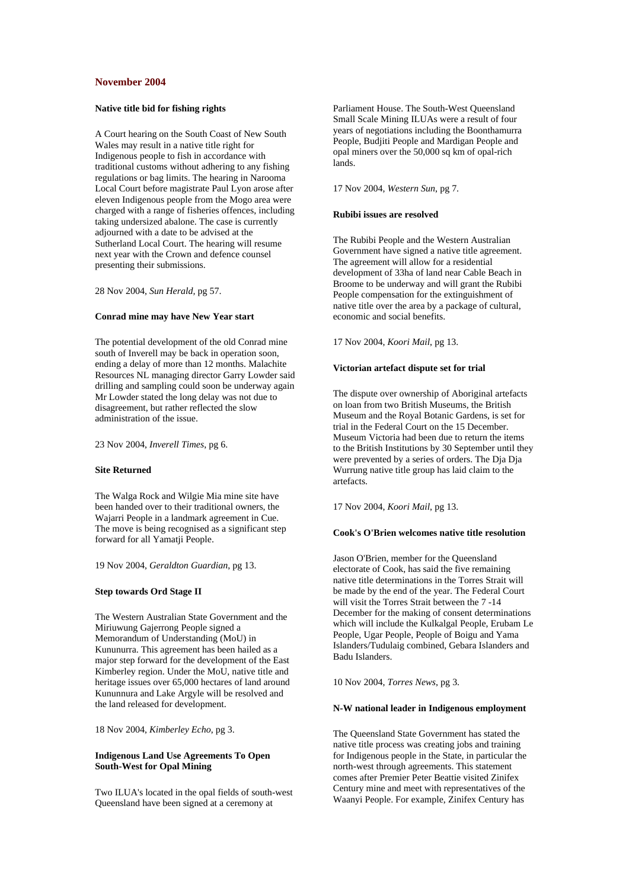## **November 2004**

# **Native title bid for fishing rights**

A Court hearing on the South Coast of New South Wales may result in a native title right for Indigenous people to fish in accordance with traditional customs without adhering to any fishing regulations or bag limits. The hearing in Narooma Local Court before magistrate Paul Lyon arose after eleven Indigenous people from the Mogo area were charged with a range of fisheries offences, including taking undersized abalone. The case is currently adjourned with a date to be advised at the Sutherland Local Court. The hearing will resume next year with the Crown and defence counsel presenting their submissions.

28 Nov 2004, *Sun Herald,* pg 57.

## **Conrad mine may have New Year start**

The potential development of the old Conrad mine south of Inverell may be back in operation soon. ending a delay of more than 12 months. Malachite Resources NL managing director Garry Lowder said drilling and sampling could soon be underway again Mr Lowder stated the long delay was not due to disagreement, but rather reflected the slow administration of the issue.

23 Nov 2004, *Inverell Times*, pg 6.

#### **Site Returned**

The Walga Rock and Wilgie Mia mine site have been handed over to their traditional owners, the Wajarri People in a landmark agreement in Cue. The move is being recognised as a significant step forward for all Yamatji People.

19 Nov 2004, *Geraldton Guardian*, pg 13.

### **Step towards Ord Stage II**

The Western Australian State Government and the Miriuwung Gajerrong People signed a Memorandum of Understanding (MoU) in Kununurra. This agreement has been hailed as a major step forward for the development of the East Kimberley region. Under the MoU, native title and heritage issues over 65,000 hectares of land around Kununnura and Lake Argyle will be resolved and the land released for development.

18 Nov 2004, *Kimberley Echo*, pg 3.

## **Indigenous Land Use Agreements To Open South-West for Opal Mining**

Two ILUA's located in the opal fields of south-west Queensland have been signed at a ceremony at

Parliament House. The South-West Queensland Small Scale Mining ILUAs were a result of four years of negotiations including the Boonthamurra People, Budjiti People and Mardigan People and opal miners over the 50,000 sq km of opal-rich lands.

17 Nov 2004, *Western Sun*, pg 7.

## **Rubibi issues are resolved**

The Rubibi People and the Western Australian Government have signed a native title agreement. The agreement will allow for a residential development of 33ha of land near Cable Beach in Broome to be underway and will grant the Rubibi People compensation for the extinguishment of native title over the area by a package of cultural, economic and social benefits.

17 Nov 2004, *Koori Mail*, pg 13.

### **Victorian artefact dispute set for trial**

The dispute over ownership of Aboriginal artefacts on loan from two British Museums, the British Museum and the Royal Botanic Gardens, is set for trial in the Federal Court on the 15 December. Museum Victoria had been due to return the items to the British Institutions by 30 September until they were prevented by a series of orders. The Dia Dia Wurrung native title group has laid claim to the artefacts.

17 Nov 2004, *Koori Mail*, pg 13.

#### **Cook's O'Brien welcomes native title resolution**

Jason O'Brien, member for the Queensland electorate of Cook, has said the five remaining native title determinations in the Torres Strait will be made by the end of the year. The Federal Court will visit the Torres Strait between the 7 -14 December for the making of consent determinations which will include the Kulkalgal People, Erubam Le People, Ugar People, People of Boigu and Yama Islanders/Tudulaig combined, Gebara Islanders and Badu Islanders.

10 Nov 2004, *Torres News*, pg 3.

## **N-W national leader in Indigenous employment**

The Queensland State Government has stated the native title process was creating jobs and training for Indigenous people in the State, in particular the north-west through agreements. This statement comes after Premier Peter Beattie visited Zinifex Century mine and meet with representatives of the Waanyi People. For example, Zinifex Century has